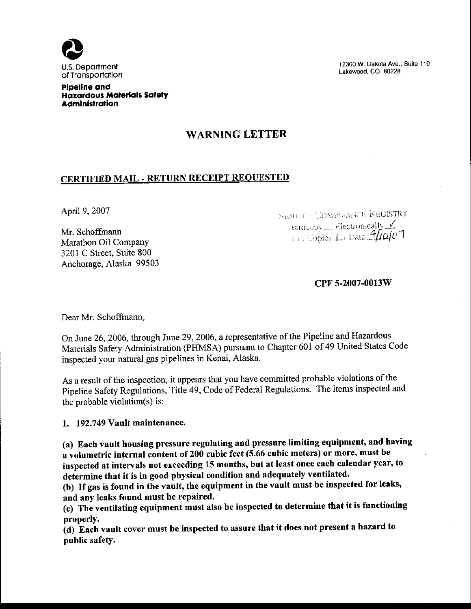

12300 W. Dakota Ave., Suite 110 Lakewood, CO 80228

Pipeline and **Hazardous Materials Safety Administration** 

## **WARNING LETTER**

## **CERTIFIED MAIL - RETURN RECEIPT REQUESTED**

April 9, 2007

Mr. Schoffmann Marathon Oil Company 3201 C Street, Suite 800 Anchorage, Alaska 99503 **SENCTO COMPLIANCE REGISTRY** Hardcopy \_\_Blectronically V **Explories** L. Date 4/10/07

CPF 5-2007-0013W

Dear Mr. Schoffmann,

On June 26, 2006, through June 29, 2006, a representative of the Pipeline and Hazardous Materials Safety Administration (PHMSA) pursuant to Chapter 601 of 49 United States Code inspected your natural gas pipelines in Kenai, Alaska.

As a result of the inspection, it appears that you have committed probable violations of the Pipeline Safety Regulations, Title 49, Code of Federal Regulations. The items inspected and the probable violation(s) is:

1. 192.749 Vault maintenance.

(a) Each vault housing pressure regulating and pressure limiting equipment, and having a volumetric internal content of 200 cubic feet (5.66 cubic meters) or more, must be inspected at intervals not exceeding 15 months, but at least once each calendar year, to determine that it is in good physical condition and adequately ventilated.

(b) If gas is found in the vault, the equipment in the vault must be inspected for leaks, and any leaks found must be repaired.

(c) The ventilating equipment must also be inspected to determine that it is functioning properly.

(d) Each vault cover must be inspected to assure that it does not present a hazard to public safety.